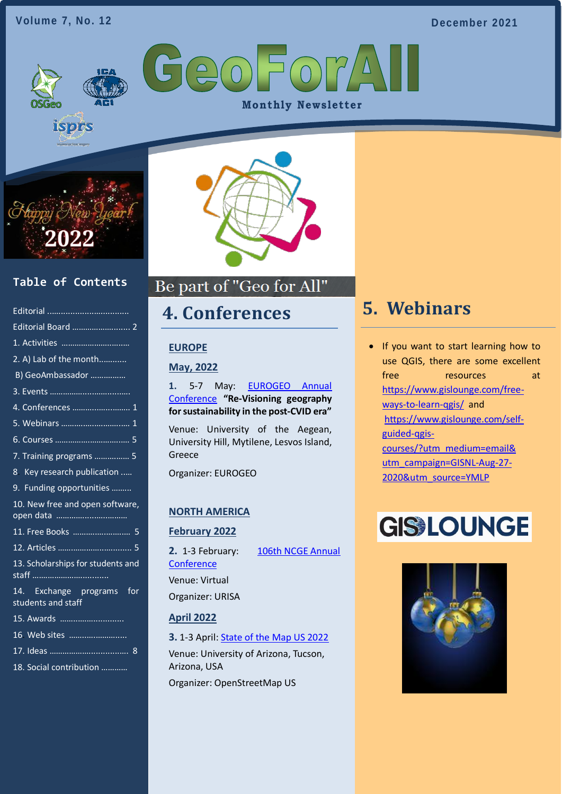#### **Volume 7, No. 12**

**December 2021**

GeoFor **Monthly Newsletter** 



**isprs** 

### **Table of Contents**

| Editorial Board  2                              |
|-------------------------------------------------|
|                                                 |
| 2. A) Lab of the month                          |
| B) GeoAmbassador                                |
|                                                 |
| 4. Conferences  1                               |
| 5. Webinars  1                                  |
|                                                 |
| 7. Training programs  5                         |
| 8 Key research publication                      |
| 9. Funding opportunities                        |
| 10. New free and open software,                 |
| 11. Free Books  5                               |
|                                                 |
| 13. Scholarships for students and               |
| 14. Exchange programs for<br>students and staff |
| 15. Awards                                      |
| 16 Web sites                                    |
|                                                 |
| 18 Social contribution                          |



### Be part of "Geo for All"

### <span id="page-0-1"></span>**4. Conferences**

#### **EUROPE**

#### **May, 2022**

**1.** 5-7 May: [EUROGEO Annual](https://www.eurogeography.eu/conferences/lesvos-2022/)  [Conference](https://www.eurogeography.eu/conferences/lesvos-2022/) **"Re-Visioning geography for sustainability in the post-CVID era"**

Venue: University of the Aegean, University Hill, Mytilene, Lesvos Island, Greece

Organizer: EUROGEO

#### **NORTH AMERICA**

#### **February 2022**

**2.** 1-3 February: [106th](https://ncge.org/professional-development/annual-conference/) [NCGE Annual](https://ncge.org/professional-development/annual-conference/)  **[Conference](https://ncge.org/professional-development/annual-conference/)** Venue: Virtual Organizer: URISA

#### **April 2022**

**3.** 1-3 April: [State of the Map US 2022](https://2022.stateofthemap.us/) Venue: University of Arizona, Tucson, Arizona, USA Organizer: OpenStreetMap US

### <span id="page-0-0"></span>**[5. Webinars](#page-0-0)**

• If you want to start learning how to use QGIS, there are some excellent free resources at [https://www.gislounge.com/free](https://www.gislounge.com/free-ways-to-learn-qgis/)[ways-to-learn-qgis/](https://www.gislounge.com/free-ways-to-learn-qgis/) and [https://www.gislounge.com/self](https://www.gislounge.com/self-guided-qgis-courses/?utm_medium=email&%20utm_campaign=GISNL-Aug-27-2020&utm_source=YMLP)[guided-qgis](https://www.gislounge.com/self-guided-qgis-courses/?utm_medium=email&%20utm_campaign=GISNL-Aug-27-2020&utm_source=YMLP)[courses/?utm\\_medium=email&](https://www.gislounge.com/self-guided-qgis-courses/?utm_medium=email&%20utm_campaign=GISNL-Aug-27-2020&utm_source=YMLP)  [utm\\_campaign=GISNL-Aug-27-](https://www.gislounge.com/self-guided-qgis-courses/?utm_medium=email&%20utm_campaign=GISNL-Aug-27-2020&utm_source=YMLP) [2020&utm\\_source=YMLP](https://www.gislounge.com/self-guided-qgis-courses/?utm_medium=email&%20utm_campaign=GISNL-Aug-27-2020&utm_source=YMLP)

# **GISSLOUNGE**

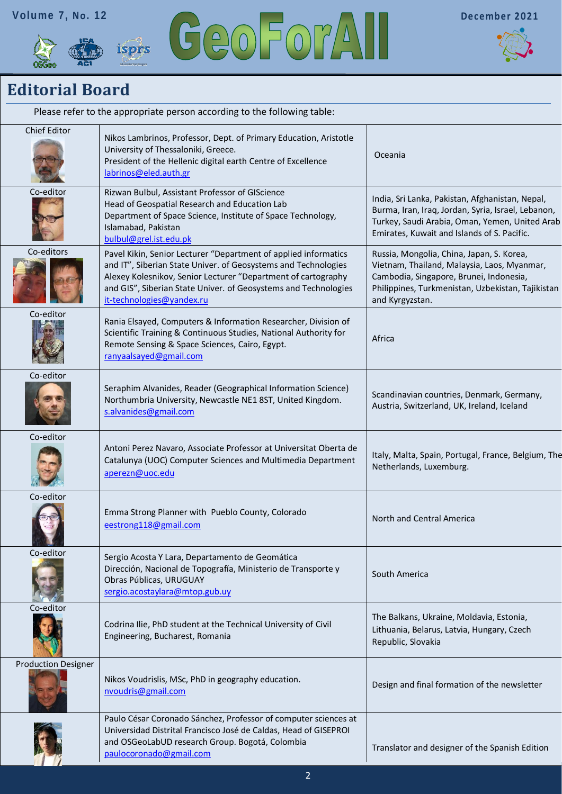





### <span id="page-1-0"></span>**Editorial Board**

| Please refer to the appropriate person according to the following table: |                                                                                                                                                                                                                                                                                                    |                                                                                                                                                                                                             |  |
|--------------------------------------------------------------------------|----------------------------------------------------------------------------------------------------------------------------------------------------------------------------------------------------------------------------------------------------------------------------------------------------|-------------------------------------------------------------------------------------------------------------------------------------------------------------------------------------------------------------|--|
| <b>Chief Editor</b>                                                      | Nikos Lambrinos, Professor, Dept. of Primary Education, Aristotle<br>University of Thessaloniki, Greece.<br>President of the Hellenic digital earth Centre of Excellence<br>labrinos@eled.auth.gr                                                                                                  | Oceania                                                                                                                                                                                                     |  |
| Co-editor                                                                | Rizwan Bulbul, Assistant Professor of GIScience<br>Head of Geospatial Research and Education Lab<br>Department of Space Science, Institute of Space Technology,<br>Islamabad, Pakistan<br>bulbul@grel.ist.edu.pk                                                                                   | India, Sri Lanka, Pakistan, Afghanistan, Nepal,<br>Burma, Iran, Iraq, Jordan, Syria, Israel, Lebanon,<br>Turkey, Saudi Arabia, Oman, Yemen, United Arab<br>Emirates, Kuwait and Islands of S. Pacific.      |  |
| Co-editors                                                               | Pavel Kikin, Senior Lecturer "Department of applied informatics<br>and IT", Siberian State Univer. of Geosystems and Technologies<br>Alexey Kolesnikov, Senior Lecturer "Department of cartography<br>and GIS", Siberian State Univer. of Geosystems and Technologies<br>it-technologies@yandex.ru | Russia, Mongolia, China, Japan, S. Korea,<br>Vietnam, Thailand, Malaysia, Laos, Myanmar,<br>Cambodia, Singapore, Brunei, Indonesia,<br>Philippines, Turkmenistan, Uzbekistan, Tajikistan<br>and Kyrgyzstan. |  |
| Co-editor                                                                | Rania Elsayed, Computers & Information Researcher, Division of<br>Scientific Training & Continuous Studies, National Authority for<br>Remote Sensing & Space Sciences, Cairo, Egypt.<br>ranyaalsayed@gmail.com                                                                                     | Africa                                                                                                                                                                                                      |  |
| Co-editor                                                                | Seraphim Alvanides, Reader (Geographical Information Science)<br>Northumbria University, Newcastle NE1 8ST, United Kingdom.<br>s.alvanides@gmail.com                                                                                                                                               | Scandinavian countries, Denmark, Germany,<br>Austria, Switzerland, UK, Ireland, Iceland                                                                                                                     |  |
| Co-editor                                                                | Antoni Perez Navaro, Associate Professor at Universitat Oberta de<br>Catalunya (UOC) Computer Sciences and Multimedia Department<br>aperezn@uoc.edu                                                                                                                                                | Italy, Malta, Spain, Portugal, France, Belgium, The<br>Netherlands, Luxemburg.                                                                                                                              |  |
| Co-editor                                                                | Emma Strong Planner with Pueblo County, Colorado<br>eestrong118@gmail.com                                                                                                                                                                                                                          | North and Central America                                                                                                                                                                                   |  |
| Co-editor                                                                | Sergio Acosta Y Lara, Departamento de Geomática<br>Dirección, Nacional de Topografía, Ministerio de Transporte y<br>Obras Públicas, URUGUAY<br>sergio.acostaylara@mtop.gub.uy                                                                                                                      | South America                                                                                                                                                                                               |  |
| Co-editor                                                                | Codrina Ilie, PhD student at the Technical University of Civil<br>Engineering, Bucharest, Romania                                                                                                                                                                                                  | The Balkans, Ukraine, Moldavia, Estonia,<br>Lithuania, Belarus, Latvia, Hungary, Czech<br>Republic, Slovakia                                                                                                |  |
| <b>Production Designer</b>                                               | Nikos Voudrislis, MSc, PhD in geography education.<br>nvoudris@gmail.com                                                                                                                                                                                                                           | Design and final formation of the newsletter                                                                                                                                                                |  |
|                                                                          | Paulo César Coronado Sánchez, Professor of computer sciences at<br>Universidad Distrital Francisco José de Caldas, Head of GISEPROI<br>and OSGeoLabUD research Group. Bogotá, Colombia<br>paulocoronado@gmail.com                                                                                  | Translator and designer of the Spanish Edition                                                                                                                                                              |  |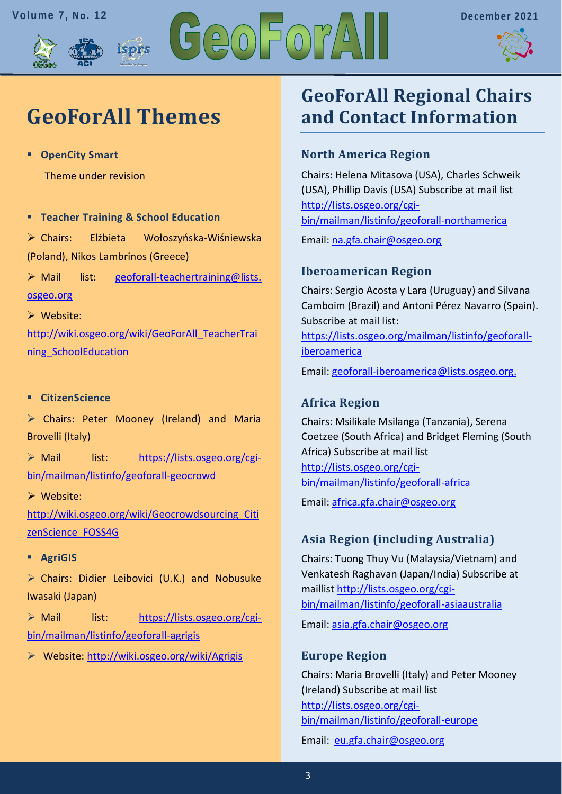



# **GeoForAll Themes**

isprs

▪ **OpenCity Smart** 

Theme under revision

▪ **Teacher Training & School Education** 

➢ Chairs: Elżbieta Wołoszyńska-Wiśniewska (Poland), Nikos Lambrinos (Greece)

➢ Mail list: [geoforall-teachertraining@lists.](mailto:geoforall-teachertraining@lists.osgeo.org)  [osgeo.org](mailto:geoforall-teachertraining@lists.osgeo.org)

➢ Website:

[http://wiki.osgeo.org/wiki/GeoForAll\\_TeacherTrai](http://wiki.osgeo.org/wiki/GeoForAll_TeacherTraining_SchoolEducation) [ning\\_SchoolEducation](http://wiki.osgeo.org/wiki/GeoForAll_TeacherTraining_SchoolEducation)

#### ▪ **CitizenScience**

➢ Chairs: Peter Mooney (Ireland) and Maria Brovelli (Italy)

➢ Mail list: [https://lists.osgeo.org/cgi](https://lists.osgeo.org/cgi-bin/mailman/listinfo/geoforall-geocrowd)[bin/mailman/listinfo/geoforall-geocrowd](https://lists.osgeo.org/cgi-bin/mailman/listinfo/geoforall-geocrowd)

➢ Website:

[http://wiki.osgeo.org/wiki/Geocrowdsourcing\\_Citi](http://wiki.osgeo.org/wiki/Geocrowdsourcing_CitizenScience_FOSS4G) [zenScience\\_FOSS4G](http://wiki.osgeo.org/wiki/Geocrowdsourcing_CitizenScience_FOSS4G)

▪ **AgriGIS**

➢ Chairs: Didier Leibovici (U.K.) and Nobusuke Iwasaki (Japan)

➢ Mail list: [https://lists.osgeo.org/cgi](https://lists.osgeo.org/cgi-bin/mailman/listinfo/geoforall-agrigis)[bin/mailman/listinfo/geoforall-agrigis](https://lists.osgeo.org/cgi-bin/mailman/listinfo/geoforall-agrigis)

➢ Website:<http://wiki.osgeo.org/wiki/Agrigis>

## **GeoForAll Regional Chairs and Contact Information**

### **North America Region**

Chairs: Helena Mitasova (USA), Charles Schweik (USA), Phillip Davis (USA) Subscribe at mail list [http://lists.osgeo.org/cgi](http://lists.osgeo.org/cgi-bin/mailman/listinfo/geoforall-northamerica)[bin/mailman/listinfo/geoforall-northamerica](http://lists.osgeo.org/cgi-bin/mailman/listinfo/geoforall-northamerica)

Email: [na.gfa.chair@osgeo.org](mailto:na.gfa.chair@osgeo.org)

### **Iberoamerican Region**

Chairs: Sergio Acosta y Lara (Uruguay) and Silvana Camboim (Brazil) and Antoni Pérez Navarro (Spain). Subscribe at mail list:

[https://lists.osgeo.org/mailman/listinfo/geoforall](https://lists.osgeo.org/mailman/listinfo/geoforall-iberoamerica)[iberoamerica](https://lists.osgeo.org/mailman/listinfo/geoforall-iberoamerica)

Email: [geoforall-iberoamerica@lists.osgeo.org.](mailto:geoforall-iberoamerica@lists.osgeo.org)

### **Africa Region**

Chairs: Msilikale Msilanga (Tanzania), Serena Coetzee (South Africa) and Bridget Fleming (South Africa) Subscribe at mail list [http://lists.osgeo.org/cgi](http://lists.osgeo.org/cgi-bin/mailman/listinfo/geoforall-africa)[bin/mailman/listinfo/geoforall-africa](http://lists.osgeo.org/cgi-bin/mailman/listinfo/geoforall-africa)

Email: [africa.gfa.chair@osgeo.org](mailto:africa.gfa.chair@osgeo.org)

### **Asia Region (including Australia)**

Chairs: Tuong Thuy Vu (Malaysia/Vietnam) and Venkatesh Raghavan (Japan/India) Subscribe at maillist [http://lists.osgeo.org/cgi](http://lists.osgeo.org/cgi-bin/mailman/listinfo/geoforall-asiaaustralia)[bin/mailman/listinfo/geoforall-asiaaustralia](http://lists.osgeo.org/cgi-bin/mailman/listinfo/geoforall-asiaaustralia) Email: [asia.gfa.chair@osgeo.org](mailto:asia.gfa.chair@osgeo.org)

#### **Europe Region**

Chairs: Maria Brovelli (Italy) and Peter Mooney (Ireland) Subscribe at mail list [http://lists.osgeo.org/cgi](http://lists.osgeo.org/cgi-bin/mailman/listinfo/geoforall-europe)[bin/mailman/listinfo/geoforall-europe](http://lists.osgeo.org/cgi-bin/mailman/listinfo/geoforall-europe)

Email: [eu.gfa.chair@osgeo.org](mailto:eu.gfa.chair@osgeo.org)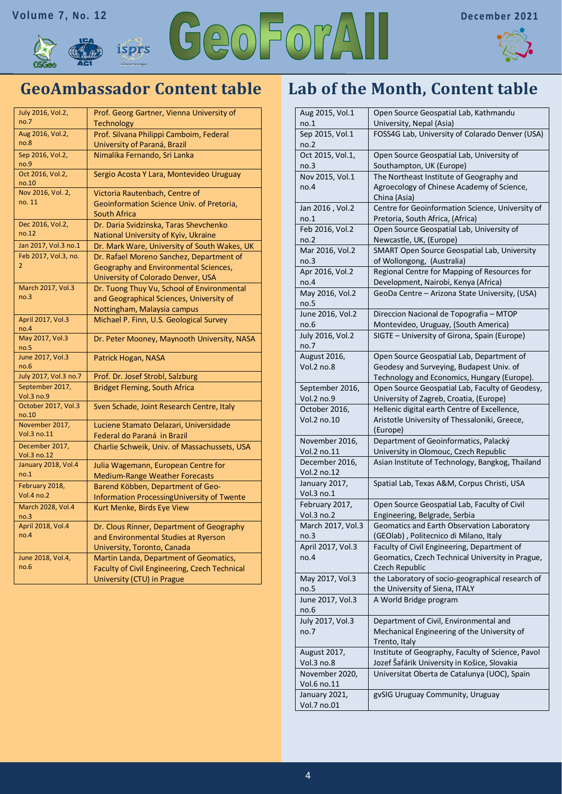



### **GeoAmbassador Content table**

| July 2016, Vol.2,             | Prof. Georg Gartner, Vienna University of     |
|-------------------------------|-----------------------------------------------|
| no.7                          | Technology                                    |
| Aug 2016, Vol.2,              | Prof. Silvana Philippi Camboim, Federal       |
| no.8                          | University of Paraná, Brazil                  |
| Sep 2016, Vol.2,<br>no.9      | Nimalika Fernando, Sri Lanka                  |
| Oct 2016, Vol.2,<br>no.10     | Sergio Acosta Y Lara, Montevideo Uruguay      |
| Nov 2016, Vol. 2,             | Victoria Rautenbach, Centre of                |
| no. 11                        | Geoinformation Science Univ. of Pretoria,     |
|                               | <b>South Africa</b>                           |
| Dec 2016, Vol.2,              | Dr. Daria Svidzinska, Taras Shevchenko        |
| no.12                         | National University of Kyiv, Ukraine          |
| Jan 2017, Vol.3 no.1          | Dr. Mark Ware, University of South Wakes, UK  |
| Feb 2017, Vol.3, no.          | Dr. Rafael Moreno Sanchez, Department of      |
| 2                             | Geography and Environmental Sciences,         |
|                               | University of Colorado Denver, USA            |
| March 2017, Vol.3             | Dr. Tuong Thuy Vu, School of Environmental    |
| no.3                          | and Geographical Sciences, University of      |
|                               | Nottingham, Malaysia campus                   |
| April 2017, Vol.3<br>no.4     | Michael P. Finn, U.S. Geological Survey       |
| May 2017, Vol.3<br>no.5       | Dr. Peter Mooney, Maynooth University, NASA   |
| June 2017, Vol.3<br>no.6      | Patrick Hogan, NASA                           |
| July 2017, Vol.3 no.7         | Prof. Dr. Josef Strobl, Salzburg              |
| September 2017,<br>Vol.3 no.9 | <b>Bridget Fleming, South Africa</b>          |
| October 2017, Vol.3<br>no.10  | Sven Schade, Joint Research Centre, Italy     |
| November 2017,                | Luciene Stamato Delazari, Universidade        |
| Vol.3 no.11                   | Federal do Paraná in Brazil                   |
| December 2017,<br>Vol.3 no.12 | Charlie Schweik, Univ. of Massachussets, USA  |
| January 2018, Vol.4           | Julia Wagemann, European Centre for           |
| no.1                          | <b>Medium-Range Weather Forecasts</b>         |
| February 2018,                | Barend Köbben, Department of Geo-             |
| Vol.4 no.2                    | Information Processing University of Twente   |
| March 2028, Vol.4<br>no.3     | Kurt Menke, Birds Eye View                    |
| April 2018, Vol.4             | Dr. Clous Rinner, Department of Geography     |
| no.4                          | and Environmental Studies at Ryerson          |
|                               | University, Toronto, Canada                   |
| June 2018, Vol.4,             | Martin Landa, Department of Geomatics,        |
| no.6                          | Faculty of Civil Engineering, Czech Technical |
|                               | University (CTU) in Prague                    |

### **Lab of the Month, Content table**

| Aug 2015, Vol.1               | Open Source Geospatial Lab, Kathmandu                                                             |
|-------------------------------|---------------------------------------------------------------------------------------------------|
| no.1                          | University, Nepal (Asia)                                                                          |
| Sep 2015, Vol.1<br>no.2       | FOSS4G Lab, University of Colarado Denver (USA)                                                   |
| Oct 2015, Vol.1,              | Open Source Geospatial Lab, University of                                                         |
| no.3                          | Southampton, UK (Europe)                                                                          |
| Nov 2015, Vol.1               | The Northeast Institute of Geography and                                                          |
| no.4                          | Agroecology of Chinese Academy of Science,                                                        |
|                               | China (Asia)                                                                                      |
| Jan 2016, Vol.2               | Centre for Geoinformation Science, University of                                                  |
| no.1                          | Pretoria, South Africa, (Africa)                                                                  |
| Feb 2016, Vol.2               | Open Source Geospatial Lab, University of                                                         |
| no.2                          | Newcastle, UK, (Europe)                                                                           |
| Mar 2016, Vol.2               | SMART Open Source Geospatial Lab, University                                                      |
| no.3                          | of Wollongong, (Australia)                                                                        |
| Apr 2016, Vol.2               | Regional Centre for Mapping of Resources for                                                      |
| no.4                          | Development, Nairobi, Kenya (Africa)                                                              |
| May 2016, Vol.2<br>no.5       | GeoDa Centre - Arizona State University, (USA)                                                    |
| June 2016, Vol.2              | Direccion Nacional de Topografia - MTOP                                                           |
| no.6                          | Montevideo, Uruguay, (South America)                                                              |
| July 2016, Vol.2              | SIGTE - University of Girona, Spain (Europe)                                                      |
| no.7                          |                                                                                                   |
| August 2016,                  | Open Source Geospatial Lab, Department of                                                         |
| Vol.2 no.8                    | Geodesy and Surveying, Budapest Univ. of                                                          |
|                               | Technology and Economics, Hungary (Europe).                                                       |
| September 2016,<br>Vol.2 no.9 | Open Source Geospatial Lab, Faculty of Geodesy,<br>University of Zagreb, Croatia, (Europe)        |
| October 2016,                 | Hellenic digital earth Centre of Excellence,                                                      |
| Vol.2 no.10                   | Aristotle University of Thessaloniki, Greece,                                                     |
|                               | (Europe)                                                                                          |
| November 2016,                | Department of Geoinformatics, Palacký                                                             |
| Vol.2 no.11                   | University in Olomouc, Czech Republic                                                             |
| December 2016,                | Asian Institute of Technology, Bangkog, Thailand                                                  |
| Vol.2 no.12                   |                                                                                                   |
| January 2017,                 | Spatial Lab, Texas A&M, Corpus Christi, USA                                                       |
| Vol.3 no.1                    |                                                                                                   |
| February 2017,                | Open Source Geospatial Lab, Faculty of Civil                                                      |
| Vol.3 no.2                    | Engineering, Belgrade, Serbia                                                                     |
| March 2017, Vol.3<br>no.3     | Geomatics and Earth Observation Laboratory<br>(GEOlab), Politecnico di Milano, Italy              |
| April 2017, Vol.3             | Faculty of Civil Engineering, Department of                                                       |
| no.4                          | Geomatics, Czech Technical University in Prague,                                                  |
|                               | Czech Republic                                                                                    |
| May 2017, Vol.3               | the Laboratory of socio-geographical research of                                                  |
| no.5                          | the University of Siena, ITALY                                                                    |
| June 2017, Vol.3              | A World Bridge program                                                                            |
| no.6                          |                                                                                                   |
| July 2017, Vol.3              | Department of Civil, Environmental and                                                            |
| no.7                          | Mechanical Engineering of the University of                                                       |
|                               | Trento, Italy                                                                                     |
| August 2017,<br>Vol.3 no.8    | Institute of Geography, Faculty of Science, Pavol<br>Jozef Šafárik University in Košice, Slovakia |
| November 2020,                | Universitat Oberta de Catalunya (UOC), Spain                                                      |
| Vol.6 no.11                   |                                                                                                   |
| January 2021,                 | gvSIG Uruguay Community, Uruguay                                                                  |
| Vol.7 no.01                   |                                                                                                   |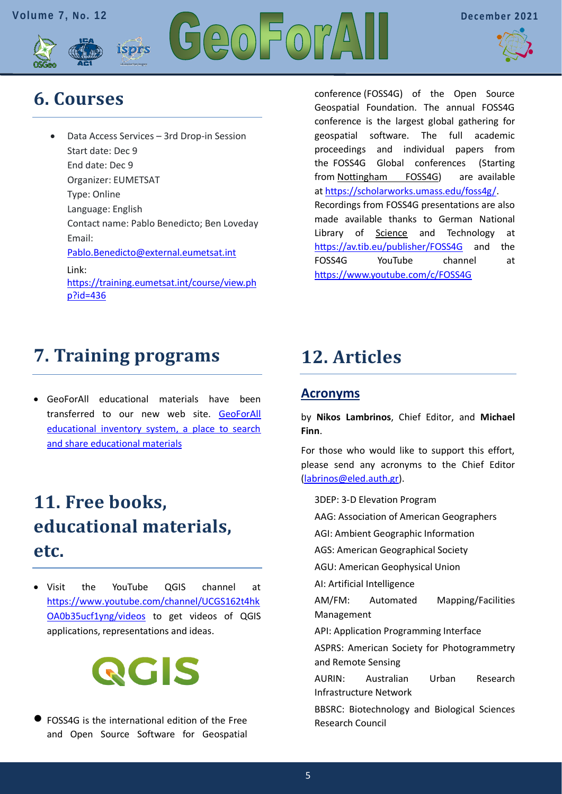



# <span id="page-4-0"></span>**6. Courses**

• Data Access Services – 3rd Drop-in Session Start date: Dec 9 End date: Dec 9 Organizer: EUMETSAT Type: Online Language: English Contact name: Pablo Benedicto; Ben Loveday Email: [Pablo.Benedicto@external.eumetsat.int](mailto:Pablo.Benedicto@external.eumetsat.int%20?subject=) Link: [https://training.eumetsat.int/course/view.ph](https://training.eumetsat.int/course/view.php?id=436) [p?id=436](https://training.eumetsat.int/course/view.php?id=436)

ispris

conference (FOSS4G) of the Open Source Geospatial Foundation. The annual FOSS4G conference is the largest global gathering for geospatial software. The full academic proceedings and individual papers from the FOSS4G Global conferences (Starting from [Nottingham FOSS4G\)](http://2013.foss4g.org/) are available at [https://scholarworks.umass.edu/foss4g/.](https://scholarworks.umass.edu/foss4g/) Recordings from FOSS4G presentations are also made available thanks to German National Library of **Science** and Technology at <https://av.tib.eu/publisher/FOSS4G> and the FOSS4G YouTube channel at <https://www.youtube.com/c/FOSS4G>

### <span id="page-4-1"></span>**7. Training programs**

• GeoForAll educational materials have been transferred to our new web site. [GeoForAll](https://www.osgeo.org/resources/)  [educational inventory system, a place to search](https://www.osgeo.org/resources/)  [and share educational materials](https://www.osgeo.org/resources/)

# <span id="page-4-2"></span>**11. Free books, educational materials, etc.**

• Visit the YouTube QGIS channel at [https://www.youtube.com/channel/UCGS162t4hk](https://www.youtube.com/channel/UCGS162t4hkOA0b35ucf1yng/videos) [OA0b35ucf1yng/videos](https://www.youtube.com/channel/UCGS162t4hkOA0b35ucf1yng/videos) to get videos of QGIS applications, representations and ideas.



• FOSS4G is the international edition of the Free and Open Source Software for Geospatial

# <span id="page-4-3"></span>**12. Articles**

### **Acronyms**

by **Nikos Lambrinos**, Chief Editor, and **Michael Finn**.

For those who would like to support this effort, please send any acronyms to the Chief Editor [\(labrinos@eled.auth.gr\)](mailto:labrinos@eled.auth.gr).

3DEP: 3-D Elevation Program

AAG: Association of American Geographers

AGI: Ambient Geographic Information

AGS: American Geographical Society

AGU: American Geophysical Union

AI: Artificial Intelligence

AM/FM: Automated Mapping/Facilities Management

API: Application Programming Interface

ASPRS: American Society for Photogrammetry and Remote Sensing

AURIN: Australian Urban Research Infrastructure Network

BBSRC: Biotechnology and Biological Sciences Research Council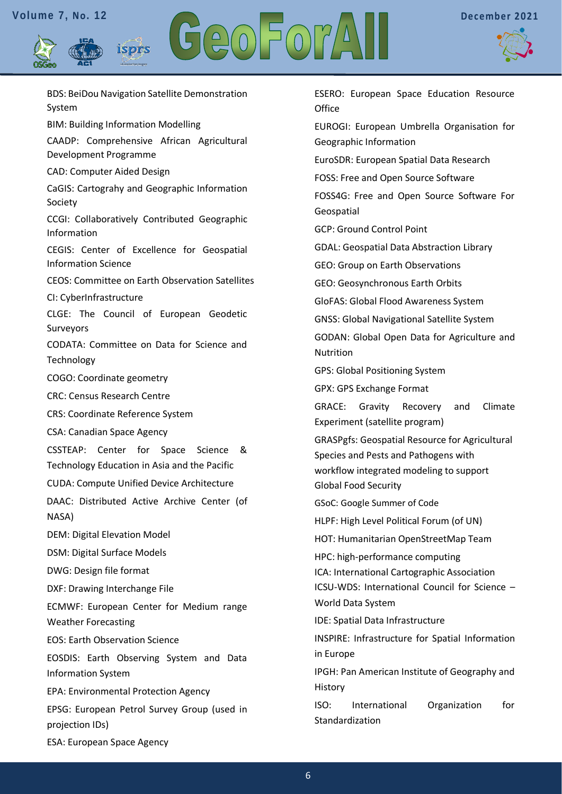isprs





BDS: BeiDou Navigation Satellite Demonstration System BIM: Building Information Modelling CAADP: Comprehensive African Agricultural Development Programme CAD: Computer Aided Design CaGIS: Cartograhy and Geographic Information Society CCGI: Collaboratively Contributed Geographic Information CEGIS: Center of Excellence for Geospatial Information Science CEOS: Committee on Earth Observation Satellites CI: CyberInfrastructure CLGE: The Council of European Geodetic Surveyors CODATA: Committee on Data for Science and **Technology** COGO: Coordinate geometry CRC: Census Research Centre CRS: Coordinate Reference System CSA: Canadian Space Agency CSSTEAP: Center for Space Science & Technology Education in Asia and the Pacific CUDA: Compute Unified Device Architecture DAAC: Distributed Active Archive Center (of NASA) DEM: Digital Elevation Model DSM: Digital Surface Models DWG: Design file format DXF: Drawing Interchange File ECMWF: European Center for Medium range Weather Forecasting EOS: Earth Observation Science EOSDIS: Earth Observing System and Data Information System EPA: Environmental Protection Agency EPSG: European Petrol Survey Group (used in projection IDs) ESA: European Space Agency

ESERO: European Space Education Resource **Office** EUROGI: European Umbrella Organisation for Geographic Information EuroSDR: European Spatial Data Research FOSS: Free and Open Source Software FOSS4G: Free and Open Source Software For Geospatial GCP: Ground Control Point GDAL: Geospatial Data Abstraction Library GEO: Group on Earth Observations GEO: Geosynchronous Earth Orbits GloFAS: Global Flood Awareness System GNSS: Global Navigational Satellite System GODAN: Global Open Data for Agriculture and Nutrition GPS: Global Positioning System GPX: GPS Exchange Format GRACE: Gravity Recovery and Climate Experiment (satellite program) GRASPgfs: Geospatial Resource for Agricultural Species and Pests and Pathogens with workflow integrated modeling to support Global Food Security GSoC: Google Summer of Code HLPF: High Level Political Forum (of UN) HOT: Humanitarian OpenStreetMap Team HPC: high-performance computing ICA: International Cartographic Association ICSU-WDS: International Council for Science – World Data System IDE: Spatial Data Infrastructure INSPIRE: Infrastructure for Spatial Information in Europe IPGH: Pan American Institute of Geography and History ISO: International Organization for Standardization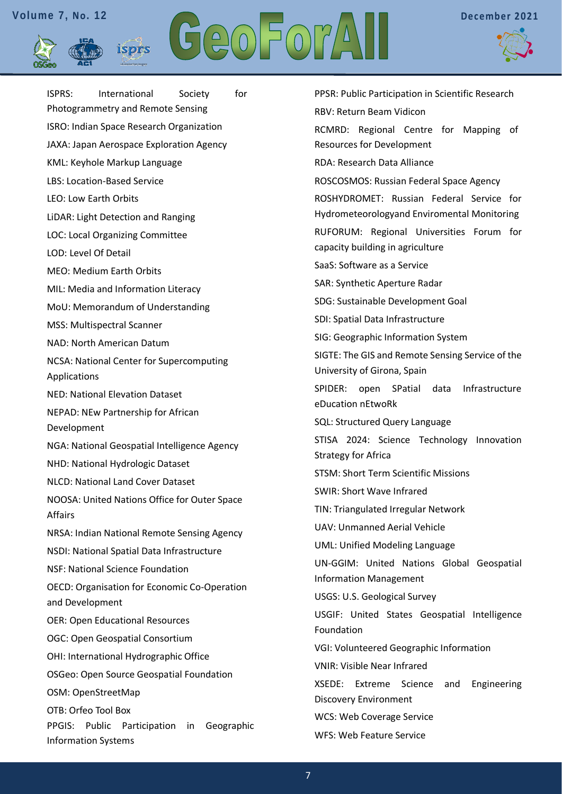isprs





ISPRS: International Society for Photogrammetry and Remote Sensing ISRO: Indian Space Research Organization JAXA: Japan Aerospace Exploration Agency KML: Keyhole Markup Language LBS: Location-Based Service LEO: Low Earth Orbits LiDAR: Light Detection and Ranging LOC: Local Organizing Committee LOD: Level Of Detail MEO: Medium Earth Orbits MIL: Media and Information Literacy MoU: Memorandum of Understanding MSS: Multispectral Scanner NAD: North American Datum NCSA: National Center for Supercomputing Applications NED: National Elevation Dataset NEPAD: NEw Partnership for African Development NGA: National Geospatial Intelligence Agency NHD: National Hydrologic Dataset NLCD: National Land Cover Dataset NOOSA: United Nations Office for Outer Space Affairs NRSA: Indian National Remote Sensing Agency NSDI: National Spatial Data Infrastructure NSF: National Science Foundation OECD: Organisation for Economic Co-Operation and Development OER: Open Educational Resources OGC: Open Geospatial Consortium OHI: International Hydrographic Office OSGeo: Open Source Geospatial Foundation OSM: OpenStreetMap OTB: Orfeo Tool Box PPGIS: Public Participation in Geographic Information Systems

PPSR: Public Participation in Scientific Research RBV: Return Beam Vidicon RCMRD: Regional Centre for Mapping of Resources for Development RDA: Research Data Alliance ROSCOSMOS: Russian Federal Space Agency ROSHYDROMET: Russian Federal Service for Hydrometeorologyand Enviromental Monitoring RUFORUM: Regional Universities Forum for capacity building in agriculture SaaS: Software as a Service SAR: Synthetic Aperture Radar SDG: Sustainable Development Goal SDI: Spatial Data Infrastructure SIG: Geographic Information System SIGTE: The GIS and Remote Sensing Service of the University of Girona, Spain SPIDER: open SPatial data Infrastructure eDucation nEtwoRk SQL: Structured Query Language STISA 2024: Science Technology Innovation Strategy for Africa STSM: Short Term Scientific Missions SWIR: Short Wave Infrared TIN: Triangulated Irregular Network UAV: Unmanned Aerial Vehicle UML: Unified Modeling Language UN-GGIM: United Nations Global Geospatial Information Management USGS: U.S. Geological Survey USGIF: United States Geospatial Intelligence Foundation VGI: Volunteered Geographic Information VNIR: Visible Near Infrared XSEDE: Extreme Science and Engineering Discovery Environment WCS: Web Coverage Service WFS: Web Feature Service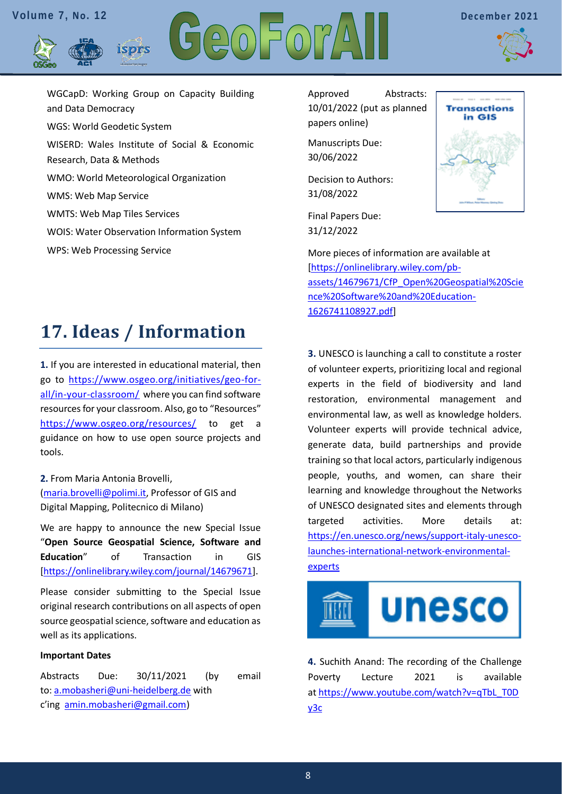



WGCapD: Working Group on Capacity Building and Data Democracy WGS: World Geodetic System WISERD: Wales Institute of Social & Economic Research, Data & Methods WMO: World Meteorological Organization WMS: Web Map Service WMTS: Web Map Tiles Services WOIS: Water Observation Information System WPS: Web Processing Service

isprs

Approved Abstracts: 10/01/2022 (put as planned papers online)

Manuscripts Due: 30/06/2022

Decision to Authors: 31/08/2022

Final Papers Due: 31/12/2022



More pieces of information are available at [\[https://onlinelibrary.wiley.com/pb](https://onlinelibrary.wiley.com/pb-assets/14679671/CfP_Open%20Geospatial%20Science%20Software%20and%20Education-1626741108927.pdf)[assets/14679671/CfP\\_Open%20Geospatial%20Scie](https://onlinelibrary.wiley.com/pb-assets/14679671/CfP_Open%20Geospatial%20Science%20Software%20and%20Education-1626741108927.pdf) [nce%20Software%20and%20Education-](https://onlinelibrary.wiley.com/pb-assets/14679671/CfP_Open%20Geospatial%20Science%20Software%20and%20Education-1626741108927.pdf)[1626741108927.pdf\]](https://onlinelibrary.wiley.com/pb-assets/14679671/CfP_Open%20Geospatial%20Science%20Software%20and%20Education-1626741108927.pdf)

# <span id="page-7-0"></span>**17. Ideas / Information**

**1.** If you are interested in educational material, then go to [https://www.osgeo.org/initiatives/geo-for](https://www.osgeo.org/initiatives/geo-for-all/in-your-classroom/)[all/in-your-classroom/](https://www.osgeo.org/initiatives/geo-for-all/in-your-classroom/) where you can find software resources for your classroom. Also, go to "Resources" <https://www.osgeo.org/resources/> to get a guidance on how to use open source projects and tools.

**2.** From Maria Antonia Brovelli, [\(maria.brovelli@polimi.it,](mailto:maria.brovelli@polimi.it) Professor of GIS and Digital Mapping, Politecnico di Milano)

We are happy to announce the new Special Issue "**Open Source Geospatial Science, Software and Education**" of Transaction in GIS [\[https://onlinelibrary.wiley.com/journal/14679671\]](https://onlinelibrary.wiley.com/journal/14679671).

Please consider submitting to the Special Issue original research contributions on all aspects of open source geospatial science, software and education as well as its applications.

#### **Important Dates**

Abstracts Due: 30/11/2021 (by email to: [a.mobasheri@uni-heidelberg.de](javascript:void(window.open() with c'ing [amin.mobasheri@gmail.com\)](javascript:void(window.open()

**3.** UNESCO is launching a call to constitute a roster of volunteer experts, prioritizing local and regional experts in the field of biodiversity and land restoration, environmental management and environmental law, as well as knowledge holders. Volunteer experts will provide technical advice, generate data, build partnerships and provide training so that local actors, particularly indigenous people, youths, and women, can share their learning and knowledge throughout the Networks of UNESCO designated sites and elements through targeted activities. More details at: [https://en.unesco.org/news/support-italy-unesco](https://en.unesco.org/news/support-italy-unesco-launches-international-network-environmental-experts)[launches-international-network-environmental](https://en.unesco.org/news/support-italy-unesco-launches-international-network-environmental-experts)[experts](https://en.unesco.org/news/support-italy-unesco-launches-international-network-environmental-experts)



**4.** Suchith Anand: The recording of the Challenge Poverty Lecture 2021 is available at [https://www.youtube.com/watch?v=qTbL\\_T0D](https://www.youtube.com/watch?v=qTbL_T0Dy3c) [y3c](https://www.youtube.com/watch?v=qTbL_T0Dy3c)